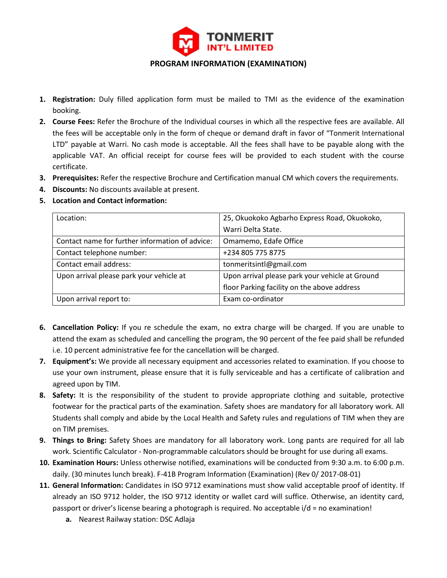

- **1. Registration:** Duly filled application form must be mailed to TMI as the evidence of the examination booking.
- **2. Course Fees:** Refer the Brochure of the Individual courses in which all the respective fees are available. All the fees will be acceptable only in the form of cheque or demand draft in favor of "Tonmerit International LTD" payable at Warri. No cash mode is acceptable. All the fees shall have to be payable along with the applicable VAT. An official receipt for course fees will be provided to each student with the course certificate.
- **3. Prerequisites:** Refer the respective Brochure and Certification manual CM which covers the requirements.
- **4. Discounts:** No discounts available at present.
- **5. Location and Contact information:**

| Location:                                       | 25, Okuokoko Agbarho Express Road, Okuokoko,    |
|-------------------------------------------------|-------------------------------------------------|
|                                                 | Warri Delta State.                              |
| Contact name for further information of advice: | Omamemo, Edafe Office                           |
| Contact telephone number:                       | +234 805 775 8775                               |
| Contact email address:                          | tonmeritsintl@gmail.com                         |
| Upon arrival please park your vehicle at        | Upon arrival please park your vehicle at Ground |
|                                                 | floor Parking facility on the above address     |
| Upon arrival report to:                         | Exam co-ordinator                               |

- **6. Cancellation Policy:** If you re schedule the exam, no extra charge will be charged. If you are unable to attend the exam as scheduled and cancelling the program, the 90 percent of the fee paid shall be refunded i.e. 10 percent administrative fee for the cancellation will be charged.
- **7. Equipment's:** We provide all necessary equipment and accessories related to examination. If you choose to use your own instrument, please ensure that it is fully serviceable and has a certificate of calibration and agreed upon by TIM.
- **8. Safety:** It is the responsibility of the student to provide appropriate clothing and suitable, protective footwear for the practical parts of the examination. Safety shoes are mandatory for all laboratory work. All Students shall comply and abide by the Local Health and Safety rules and regulations of TIM when they are on TIM premises.
- **9. Things to Bring:** Safety Shoes are mandatory for all laboratory work. Long pants are required for all lab work. Scientific Calculator - Non-programmable calculators should be brought for use during all exams.
- **10. Examination Hours:** Unless otherwise notified, examinations will be conducted from 9:30 a.m. to 6:00 p.m. daily. (30 minutes lunch break). F-41B Program Information (Examination) (Rev 0/ 2017-08-01)
- **11. General Information:** Candidates in ISO 9712 examinations must show valid acceptable proof of identity. If already an ISO 9712 holder, the ISO 9712 identity or wallet card will suffice. Otherwise, an identity card, passport or driver's license bearing a photograph is required. No acceptable i/d = no examination!
	- **a.** Nearest Railway station: DSC Adlaja